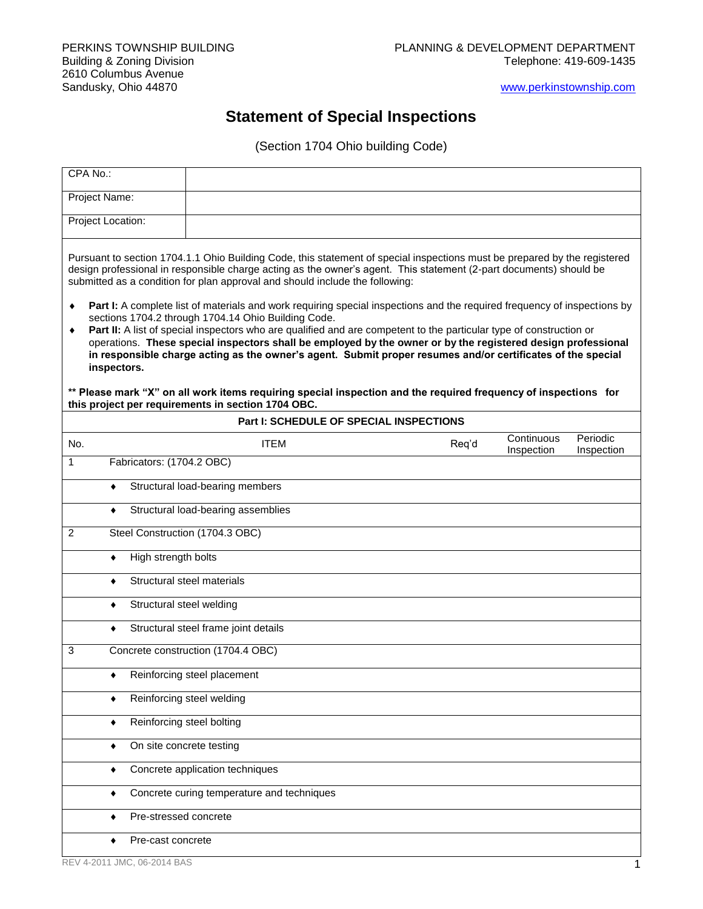[www.perkinstownship.com](http://www.perkinstownship.com/)

## **Statement of Special Inspections**

(Section 1704 Ohio building Code)

| CPA No.:                                                                                                                                                                                                                                                                                                                                                                                                                                                                                                                                                                                                                                                                                                                                                                                                                                                                                                                                                                                                             |                                            |                                                    |                                                |  |       |                          |                        |
|----------------------------------------------------------------------------------------------------------------------------------------------------------------------------------------------------------------------------------------------------------------------------------------------------------------------------------------------------------------------------------------------------------------------------------------------------------------------------------------------------------------------------------------------------------------------------------------------------------------------------------------------------------------------------------------------------------------------------------------------------------------------------------------------------------------------------------------------------------------------------------------------------------------------------------------------------------------------------------------------------------------------|--------------------------------------------|----------------------------------------------------|------------------------------------------------|--|-------|--------------------------|------------------------|
| Project Name:                                                                                                                                                                                                                                                                                                                                                                                                                                                                                                                                                                                                                                                                                                                                                                                                                                                                                                                                                                                                        |                                            |                                                    |                                                |  |       |                          |                        |
| Project Location:                                                                                                                                                                                                                                                                                                                                                                                                                                                                                                                                                                                                                                                                                                                                                                                                                                                                                                                                                                                                    |                                            |                                                    |                                                |  |       |                          |                        |
| Pursuant to section 1704.1.1 Ohio Building Code, this statement of special inspections must be prepared by the registered<br>design professional in responsible charge acting as the owner's agent. This statement (2-part documents) should be<br>submitted as a condition for plan approval and should include the following:<br>Part I: A complete list of materials and work requiring special inspections and the required frequency of inspections by<br>٠<br>sections 1704.2 through 1704.14 Ohio Building Code.<br>Part II: A list of special inspectors who are qualified and are competent to the particular type of construction or<br>٠<br>operations. These special inspectors shall be employed by the owner or by the registered design professional<br>in responsible charge acting as the owner's agent. Submit proper resumes and/or certificates of the special<br>inspectors.<br>** Please mark "X" on all work items requiring special inspection and the required frequency of inspections for |                                            |                                                    |                                                |  |       |                          |                        |
|                                                                                                                                                                                                                                                                                                                                                                                                                                                                                                                                                                                                                                                                                                                                                                                                                                                                                                                                                                                                                      |                                            | this project per requirements in section 1704 OBC. | <b>Part I: SCHEDULE OF SPECIAL INSPECTIONS</b> |  |       |                          |                        |
| No.                                                                                                                                                                                                                                                                                                                                                                                                                                                                                                                                                                                                                                                                                                                                                                                                                                                                                                                                                                                                                  |                                            | <b>ITEM</b>                                        |                                                |  | Req'd | Continuous<br>Inspection | Periodic<br>Inspection |
| 1                                                                                                                                                                                                                                                                                                                                                                                                                                                                                                                                                                                                                                                                                                                                                                                                                                                                                                                                                                                                                    | Fabricators: (1704.2 OBC)                  |                                                    |                                                |  |       |                          |                        |
| $\bullet$                                                                                                                                                                                                                                                                                                                                                                                                                                                                                                                                                                                                                                                                                                                                                                                                                                                                                                                                                                                                            | Structural load-bearing members            |                                                    |                                                |  |       |                          |                        |
| ٠                                                                                                                                                                                                                                                                                                                                                                                                                                                                                                                                                                                                                                                                                                                                                                                                                                                                                                                                                                                                                    |                                            | Structural load-bearing assemblies                 |                                                |  |       |                          |                        |
| 2                                                                                                                                                                                                                                                                                                                                                                                                                                                                                                                                                                                                                                                                                                                                                                                                                                                                                                                                                                                                                    |                                            | Steel Construction (1704.3 OBC)                    |                                                |  |       |                          |                        |
| ٠                                                                                                                                                                                                                                                                                                                                                                                                                                                                                                                                                                                                                                                                                                                                                                                                                                                                                                                                                                                                                    | High strength bolts                        |                                                    |                                                |  |       |                          |                        |
| ٠                                                                                                                                                                                                                                                                                                                                                                                                                                                                                                                                                                                                                                                                                                                                                                                                                                                                                                                                                                                                                    |                                            | Structural steel materials                         |                                                |  |       |                          |                        |
| ٠                                                                                                                                                                                                                                                                                                                                                                                                                                                                                                                                                                                                                                                                                                                                                                                                                                                                                                                                                                                                                    | Structural steel welding                   |                                                    |                                                |  |       |                          |                        |
| ٠                                                                                                                                                                                                                                                                                                                                                                                                                                                                                                                                                                                                                                                                                                                                                                                                                                                                                                                                                                                                                    |                                            | Structural steel frame joint details               |                                                |  |       |                          |                        |
| 3                                                                                                                                                                                                                                                                                                                                                                                                                                                                                                                                                                                                                                                                                                                                                                                                                                                                                                                                                                                                                    |                                            | Concrete construction (1704.4 OBC)                 |                                                |  |       |                          |                        |
| ٠                                                                                                                                                                                                                                                                                                                                                                                                                                                                                                                                                                                                                                                                                                                                                                                                                                                                                                                                                                                                                    |                                            | Reinforcing steel placement                        |                                                |  |       |                          |                        |
|                                                                                                                                                                                                                                                                                                                                                                                                                                                                                                                                                                                                                                                                                                                                                                                                                                                                                                                                                                                                                      |                                            | Reinforcing steel welding                          |                                                |  |       |                          |                        |
|                                                                                                                                                                                                                                                                                                                                                                                                                                                                                                                                                                                                                                                                                                                                                                                                                                                                                                                                                                                                                      | Reinforcing steel bolting                  |                                                    |                                                |  |       |                          |                        |
| ٠                                                                                                                                                                                                                                                                                                                                                                                                                                                                                                                                                                                                                                                                                                                                                                                                                                                                                                                                                                                                                    | On site concrete testing                   |                                                    |                                                |  |       |                          |                        |
|                                                                                                                                                                                                                                                                                                                                                                                                                                                                                                                                                                                                                                                                                                                                                                                                                                                                                                                                                                                                                      | Concrete application techniques            |                                                    |                                                |  |       |                          |                        |
| ٠                                                                                                                                                                                                                                                                                                                                                                                                                                                                                                                                                                                                                                                                                                                                                                                                                                                                                                                                                                                                                    | Concrete curing temperature and techniques |                                                    |                                                |  |       |                          |                        |
|                                                                                                                                                                                                                                                                                                                                                                                                                                                                                                                                                                                                                                                                                                                                                                                                                                                                                                                                                                                                                      | Pre-stressed concrete                      |                                                    |                                                |  |       |                          |                        |
|                                                                                                                                                                                                                                                                                                                                                                                                                                                                                                                                                                                                                                                                                                                                                                                                                                                                                                                                                                                                                      | Pre-cast concrete                          |                                                    |                                                |  |       |                          |                        |
|                                                                                                                                                                                                                                                                                                                                                                                                                                                                                                                                                                                                                                                                                                                                                                                                                                                                                                                                                                                                                      | REV 4-2011 JMC, 06-2014 BAS                |                                                    |                                                |  |       |                          |                        |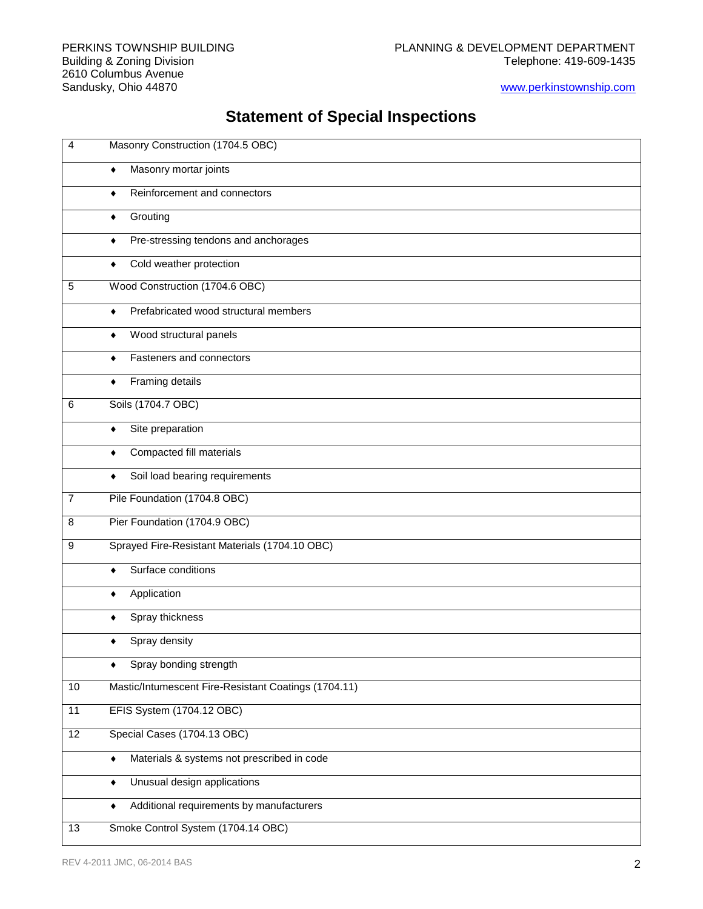#### [www.perkinstownship.com](http://www.perkinstownship.com/)

# **Statement of Special Inspections**

| $\overline{4}$  | Masonry Construction (1704.5 OBC)                             |
|-----------------|---------------------------------------------------------------|
|                 | Masonry mortar joints<br>$\blacklozenge$                      |
|                 | Reinforcement and connectors<br>٠                             |
|                 | Grouting<br>٠                                                 |
|                 | Pre-stressing tendons and anchorages<br>٠                     |
|                 | Cold weather protection<br>٠                                  |
| 5               | Wood Construction (1704.6 OBC)                                |
|                 | Prefabricated wood structural members<br>٠                    |
|                 | Wood structural panels<br>٠                                   |
|                 | Fasteners and connectors<br>٠                                 |
|                 | Framing details<br>٠                                          |
| 6               | Soils (1704.7 OBC)                                            |
|                 | Site preparation<br>٠                                         |
|                 | Compacted fill materials<br>٠                                 |
|                 | Soil load bearing requirements<br>٠                           |
| $\overline{7}$  | Pile Foundation (1704.8 OBC)                                  |
| 8               | Pier Foundation (1704.9 OBC)                                  |
| 9               | Sprayed Fire-Resistant Materials (1704.10 OBC)                |
|                 | Surface conditions<br>٠                                       |
|                 | Application<br>٠                                              |
|                 | Spray thickness<br>٠                                          |
|                 | Spray density                                                 |
|                 | Spray bonding strength<br>٠                                   |
| 10              | Mastic/Intumescent Fire-Resistant Coatings (1704.11)          |
| 11              | EFIS System (1704.12 OBC)                                     |
| $\overline{12}$ | Special Cases (1704.13 OBC)                                   |
|                 | Materials & systems not prescribed in code<br>$\blacklozenge$ |
|                 | Unusual design applications<br>٠                              |
|                 | Additional requirements by manufacturers<br>٠                 |
| 13              | Smoke Control System (1704.14 OBC)                            |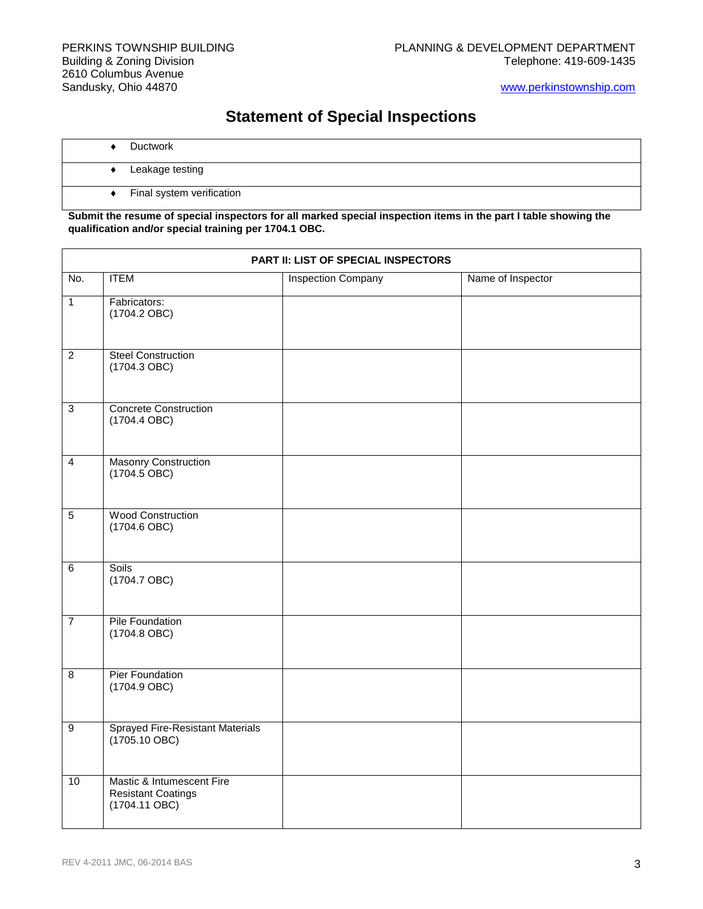[www.perkinstownship.com](http://www.perkinstownship.com/)

## **Statement of Special Inspections**

- ◆ Ductwork
	- ◆ Leakage testing
	- **+** Final system verification

**Submit the resume of special inspectors for all marked special inspection items in the part I table showing the qualification and/or special training per 1704.1 OBC.**

| PART II: LIST OF SPECIAL INSPECTORS |                                                                         |                           |                   |  |  |
|-------------------------------------|-------------------------------------------------------------------------|---------------------------|-------------------|--|--|
| No.                                 | <b>ITEM</b>                                                             | <b>Inspection Company</b> | Name of Inspector |  |  |
| $\overline{1}$                      | Fabricators:<br>$(1704.2$ OBC)                                          |                           |                   |  |  |
| $\overline{2}$                      | <b>Steel Construction</b><br>(1704.3 OBC)                               |                           |                   |  |  |
| $\overline{3}$                      | <b>Concrete Construction</b><br>(1704.4 OBC)                            |                           |                   |  |  |
| $\overline{4}$                      | <b>Masonry Construction</b><br>$(1704.5 \overline{O}BC)$                |                           |                   |  |  |
| $\overline{5}$                      | <b>Wood Construction</b><br>$(1704.6$ OBC)                              |                           |                   |  |  |
| $6\overline{6}$                     | Soils<br>(1704.7 OBC)                                                   |                           |                   |  |  |
| $\overline{7}$                      | Pile Foundation<br>(1704.8 OBC)                                         |                           |                   |  |  |
| $\overline{8}$                      | Pier Foundation<br>$(1704.9$ OBC)                                       |                           |                   |  |  |
| $\boldsymbol{9}$                    | <b>Sprayed Fire-Resistant Materials</b><br>$(1705.10$ OBC)              |                           |                   |  |  |
| 10                                  | Mastic & Intumescent Fire<br><b>Resistant Coatings</b><br>(1704.11 OBC) |                           |                   |  |  |